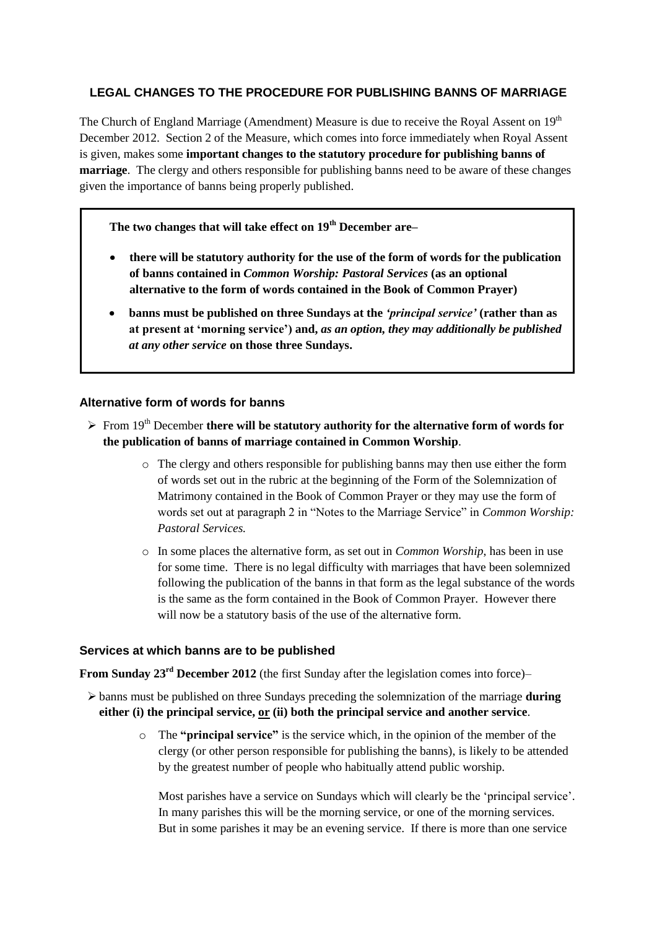## **LEGAL CHANGES TO THE PROCEDURE FOR PUBLISHING BANNS OF MARRIAGE**

The Church of England Marriage (Amendment) Measure is due to receive the Royal Assent on 19<sup>th</sup> December 2012. Section 2 of the Measure, which comes into force immediately when Royal Assent is given, makes some **important changes to the statutory procedure for publishing banns of marriage**. The clergy and others responsible for publishing banns need to be aware of these changes given the importance of banns being properly published.

**The two changes that will take effect on 19th December are–**

- **there will be statutory authority for the use of the form of words for the publication**   $\bullet$ **of banns contained in** *Common Worship: Pastoral Services* **(as an optional alternative to the form of words contained in the Book of Common Prayer)**
- **banns must be published on three Sundays at the** *'principal service'* **(rather than as at present at 'morning service') and,** *as an option, they may additionally be published at any other service* **on those three Sundays.**

## **Alternative form of words for banns**

- From 19th December **there will be statutory authority for the alternative form of words for the publication of banns of marriage contained in Common Worship**.
	- o The clergy and others responsible for publishing banns may then use either the form of words set out in the rubric at the beginning of the Form of the Solemnization of Matrimony contained in the Book of Common Prayer or they may use the form of words set out at paragraph 2 in "Notes to the Marriage Service" in *Common Worship: Pastoral Services.*
	- o In some places the alternative form, as set out in *Common Worship*, has been in use for some time. There is no legal difficulty with marriages that have been solemnized following the publication of the banns in that form as the legal substance of the words is the same as the form contained in the Book of Common Prayer. However there will now be a statutory basis of the use of the alternative form.

## **Services at which banns are to be published**

**From Sunday 23rd December 2012** (the first Sunday after the legislation comes into force)–

- banns must be published on three Sundays preceding the solemnization of the marriage **during either (i) the principal service, or (ii) both the principal service and another service**.
	- o The **"principal service"** is the service which, in the opinion of the member of the clergy (or other person responsible for publishing the banns), is likely to be attended by the greatest number of people who habitually attend public worship.

Most parishes have a service on Sundays which will clearly be the 'principal service'. In many parishes this will be the morning service, or one of the morning services. But in some parishes it may be an evening service. If there is more than one service